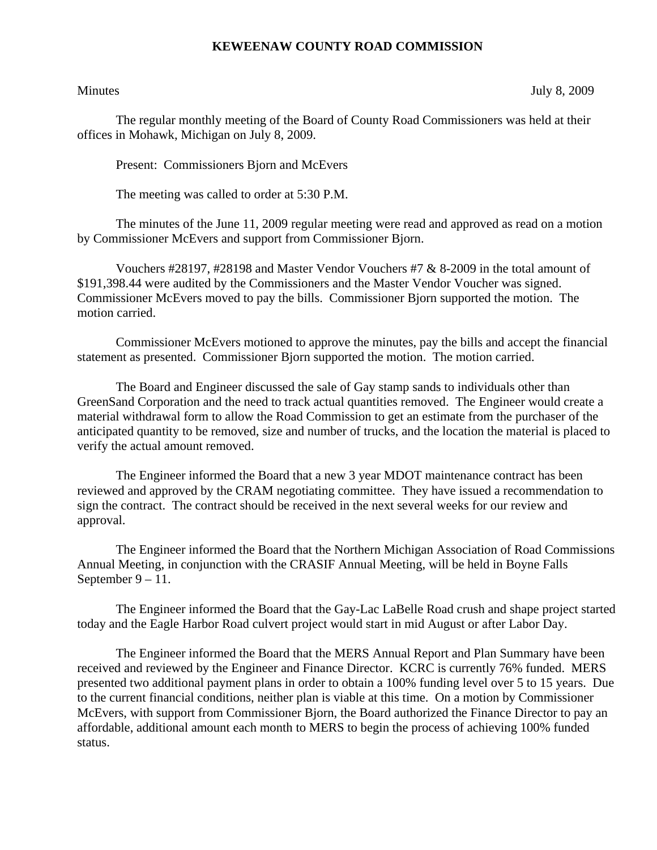## **KEWEENAW COUNTY ROAD COMMISSION**

Minutes July 8, 2009

The regular monthly meeting of the Board of County Road Commissioners was held at their offices in Mohawk, Michigan on July 8, 2009.

Present: Commissioners Bjorn and McEvers

The meeting was called to order at 5:30 P.M.

 The minutes of the June 11, 2009 regular meeting were read and approved as read on a motion by Commissioner McEvers and support from Commissioner Bjorn.

 Vouchers #28197, #28198 and Master Vendor Vouchers #7 & 8-2009 in the total amount of \$191,398.44 were audited by the Commissioners and the Master Vendor Voucher was signed. Commissioner McEvers moved to pay the bills. Commissioner Bjorn supported the motion. The motion carried.

 Commissioner McEvers motioned to approve the minutes, pay the bills and accept the financial statement as presented. Commissioner Bjorn supported the motion. The motion carried.

 The Board and Engineer discussed the sale of Gay stamp sands to individuals other than GreenSand Corporation and the need to track actual quantities removed. The Engineer would create a material withdrawal form to allow the Road Commission to get an estimate from the purchaser of the anticipated quantity to be removed, size and number of trucks, and the location the material is placed to verify the actual amount removed.

 The Engineer informed the Board that a new 3 year MDOT maintenance contract has been reviewed and approved by the CRAM negotiating committee. They have issued a recommendation to sign the contract. The contract should be received in the next several weeks for our review and approval.

 The Engineer informed the Board that the Northern Michigan Association of Road Commissions Annual Meeting, in conjunction with the CRASIF Annual Meeting, will be held in Boyne Falls September 9 – 11.

 The Engineer informed the Board that the Gay-Lac LaBelle Road crush and shape project started today and the Eagle Harbor Road culvert project would start in mid August or after Labor Day.

 The Engineer informed the Board that the MERS Annual Report and Plan Summary have been received and reviewed by the Engineer and Finance Director. KCRC is currently 76% funded. MERS presented two additional payment plans in order to obtain a 100% funding level over 5 to 15 years. Due to the current financial conditions, neither plan is viable at this time. On a motion by Commissioner McEvers, with support from Commissioner Bjorn, the Board authorized the Finance Director to pay an affordable, additional amount each month to MERS to begin the process of achieving 100% funded status.